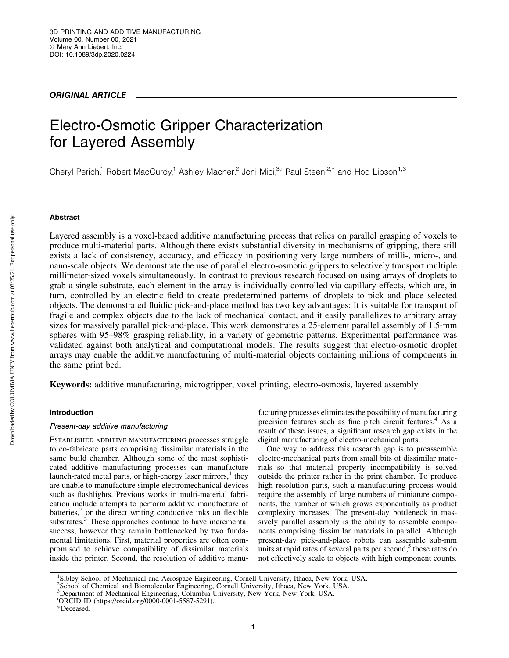# ORIGINAL ARTICLE

# Electro-Osmotic Gripper Characterization for Layered Assembly

Cheryl Perich,<sup>1</sup> Robert MacCurdy,<sup>1</sup> Ashley Macner,<sup>2</sup> Joni Mici,<sup>3,i</sup> Paul Steen,<sup>2,\*</sup> and Hod Lipson<sup>1,3</sup>

# Abstract

Layered assembly is a voxel-based additive manufacturing process that relies on parallel grasping of voxels to produce multi-material parts. Although there exists substantial diversity in mechanisms of gripping, there still exists a lack of consistency, accuracy, and efficacy in positioning very large numbers of milli-, micro-, and nano-scale objects. We demonstrate the use of parallel electro-osmotic grippers to selectively transport multiple millimeter-sized voxels simultaneously. In contrast to previous research focused on using arrays of droplets to grab a single substrate, each element in the array is individually controlled via capillary effects, which are, in turn, controlled by an electric field to create predetermined patterns of droplets to pick and place selected objects. The demonstrated fluidic pick-and-place method has two key advantages: It is suitable for transport of fragile and complex objects due to the lack of mechanical contact, and it easily parallelizes to arbitrary array sizes for massively parallel pick-and-place. This work demonstrates a 25-element parallel assembly of 1.5-mm spheres with 95–98% grasping reliability, in a variety of geometric patterns. Experimental performance was validated against both analytical and computational models. The results suggest that electro-osmotic droplet arrays may enable the additive manufacturing of multi-material objects containing millions of components in the same print bed.

Keywords: additive manufacturing, microgripper, voxel printing, electro-osmosis, layered assembly

# Introduction

# Present-day additive manufacturing

Established additive manufacturing processes struggle to co-fabricate parts comprising dissimilar materials in the same build chamber. Although some of the most sophisticated additive manufacturing processes can manufacture launch-rated metal parts, or high-energy laser mirrors, $<sup>1</sup>$  they</sup> are unable to manufacture simple electromechanical devices such as flashlights. Previous works in multi-material fabrication include attempts to perform additive manufacture of batteries, $2$  or the direct writing conductive inks on flexible substrates.<sup>3</sup> These approaches continue to have incremental success, however they remain bottlenecked by two fundamental limitations. First, material properties are often compromised to achieve compatibility of dissimilar materials inside the printer. Second, the resolution of additive manufacturing processes eliminates the possibility of manufacturing precision features such as fine pitch circuit features.<sup>4</sup> As a result of these issues, a significant research gap exists in the digital manufacturing of electro-mechanical parts.

One way to address this research gap is to preassemble electro-mechanical parts from small bits of dissimilar materials so that material property incompatibility is solved outside the printer rather in the print chamber. To produce high-resolution parts, such a manufacturing process would require the assembly of large numbers of miniature components, the number of which grows exponentially as product complexity increases. The present-day bottleneck in massively parallel assembly is the ability to assemble components comprising dissimilar materials in parallel. Although present-day pick-and-place robots can assemble sub-mm units at rapid rates of several parts per second, $5$  these rates do not effectively scale to objects with high component counts.

<sup>&</sup>lt;sup>1</sup>Sibley School of Mechanical and Aerospace Engineering, Cornell University, Ithaca, New York, USA.

<sup>2</sup> School of Chemical and Biomolecular Engineering, Cornell University, Ithaca, New York, USA.

<sup>&</sup>lt;sup>3</sup>Department of Mechanical Engineering, Columbia University, New York, New York, USA.

<sup>&</sup>lt;sup>i</sup>ORCID ID (<https://orcid.org/0000-0001-5587-5291>).

<sup>\*</sup>Deceased.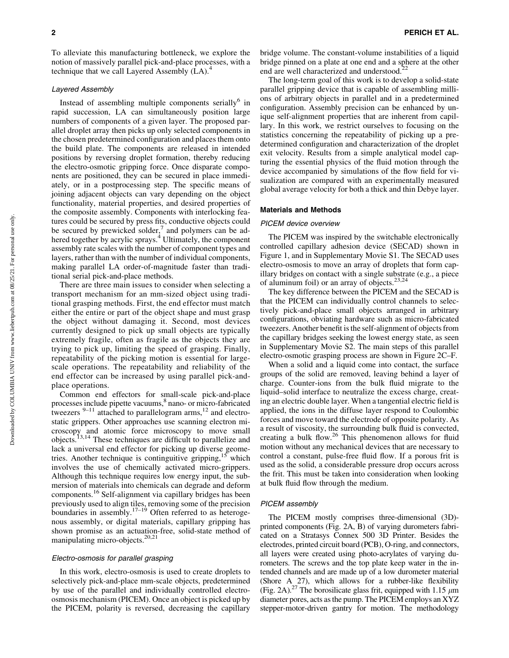To alleviate this manufacturing bottleneck, we explore the notion of massively parallel pick-and-place processes, with a technique that we call Layered Assembly  $(LA)$ <sup>4</sup>

#### Layered Assembly

Instead of assembling multiple components serially $\delta$  in rapid succession, LA can simultaneously position large numbers of components of a given layer. The proposed parallel droplet array then picks up only selected components in the chosen predetermined configuration and places them onto the build plate. The components are released in intended positions by reversing droplet formation, thereby reducing the electro-osmotic gripping force. Once disparate components are positioned, they can be secured in place immediately, or in a postprocessing step. The specific means of joining adjacent objects can vary depending on the object functionality, material properties, and desired properties of the composite assembly. Components with interlocking features could be secured by press fits, conductive objects could be secured by prewicked solder, $\frac{7}{1}$  and polymers can be adhered together by acrylic sprays.<sup>4</sup> Ultimately, the component assembly rate scales with the number of component types and layers, rather than with the number of individual components, making parallel LA order-of-magnitude faster than traditional serial pick-and-place methods.

There are three main issues to consider when selecting a transport mechanism for an mm-sized object using traditional grasping methods. First, the end effector must match either the entire or part of the object shape and must grasp the object without damaging it. Second, most devices currently designed to pick up small objects are typically extremely fragile, often as fragile as the objects they are trying to pick up, limiting the speed of grasping. Finally, repeatability of the picking motion is essential for largescale operations. The repeatability and reliability of the end effector can be increased by using parallel pick-andplace operations.

Common end effectors for small-scale pick-and-place processes include pipette vacuums,<sup>8</sup> nano- or micro-fabricated tweezers  $9-11$  attached to parallelogram arms,<sup>12</sup> and electrostatic grippers. Other approaches use scanning electron microscopy and atomic force microscopy to move small objects.<sup>13,14</sup> These techniques are difficult to parallelize and lack a universal end effector for picking up diverse geometries. Another technique is continguitive gripping,  $15$  which involves the use of chemically activated micro-grippers. Although this technique requires low energy input, the submersion of materials into chemicals can degrade and deform components.16 Self-alignment via capillary bridges has been previously used to align tiles, removing some of the precision boundaries in assembly.<sup>17–19</sup> Often referred to as heterogenous assembly, or digital materials, capillary gripping has shown promise as an actuation-free, solid-state method of manipulating micro-objects.<sup>20,21</sup>

# Electro-osmosis for parallel grasping

In this work, electro-osmosis is used to create droplets to selectively pick-and-place mm-scale objects, predetermined by use of the parallel and individually controlled electroosmosis mechanism (PICEM). Once an object is picked up by the PICEM, polarity is reversed, decreasing the capillary bridge volume. The constant-volume instabilities of a liquid bridge pinned on a plate at one end and a sphere at the other end are well characterized and understood.<sup>22</sup>

The long-term goal of this work is to develop a solid-state parallel gripping device that is capable of assembling millions of arbitrary objects in parallel and in a predetermined configuration. Assembly precision can be enhanced by unique self-alignment properties that are inherent from capillary. In this work, we restrict ourselves to focusing on the statistics concerning the repeatability of picking up a predetermined configuration and characterization of the droplet exit velocity. Results from a simple analytical model capturing the essential physics of the fluid motion through the device accompanied by simulations of the flow field for visualization are compared with an experimentally measured global average velocity for both a thick and thin Debye layer.

#### Materials and Methods

## PICEM device overview

The PICEM was inspired by the switchable electronically controlled capillary adhesion device (SECAD) shown in Figure 1, and in Supplementary Movie S1. The SECAD uses electro-osmosis to move an array of droplets that form capillary bridges on contact with a single substrate (e.g., a piece of aluminum foil) or an array of objects.<sup>23,24</sup>

The key difference between the PICEM and the SECAD is that the PICEM can individually control channels to selectively pick-and-place small objects arranged in arbitrary configurations, obviating hardware such as micro-fabricated tweezers. Another benefit is the self-alignment of objects from the capillary bridges seeking the lowest energy state, as seen in Supplementary Movie S2. The main steps of this parallel electro-osmotic grasping process are shown in Figure 2C–F.

When a solid and a liquid come into contact, the surface groups of the solid are removed, leaving behind a layer of charge. Counter-ions from the bulk fluid migrate to the liquid–solid interface to neutralize the excess charge, creating an electric double layer. When a tangential electric field is applied, the ions in the diffuse layer respond to Coulombic forces and move toward the electrode of opposite polarity. As a result of viscosity, the surrounding bulk fluid is convected, creating a bulk flow.<sup>26</sup> This phenomenon allows for fluid motion without any mechanical devices that are necessary to control a constant, pulse-free fluid flow. If a porous frit is used as the solid, a considerable pressure drop occurs across the frit. This must be taken into consideration when looking at bulk fluid flow through the medium.

#### PICEM assembly

The PICEM mostly comprises three-dimensional (3D) printed components (Fig. 2A, B) of varying durometers fabricated on a Stratasys Connex 500 3D Printer. Besides the electrodes, printed circuit board (PCB), O-ring, and connectors, all layers were created using photo-acrylates of varying durometers. The screws and the top plate keep water in the intended channels and are made up of a low durometer material (Shore A 27), which allows for a rubber-like flexibility (Fig. 2A).<sup>27</sup> The borosilicate glass frit, equipped with 1.15  $\mu$ m diameter pores, acts as the pump. The PICEM employs an XYZ stepper-motor-driven gantry for motion. The methodology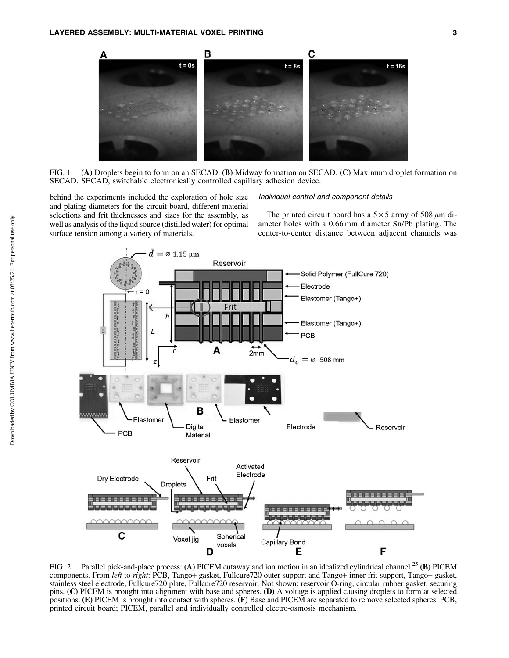

FIG. 1. (A) Droplets begin to form on an SECAD. (B) Midway formation on SECAD. (C) Maximum droplet formation on SECAD. SECAD, switchable electronically controlled capillary adhesion device.

behind the experiments included the exploration of hole size and plating diameters for the circuit board, different material selections and frit thicknesses and sizes for the assembly, as well as analysis of the liquid source (distilled water) for optimal surface tension among a variety of materials.

## Individual control and component details

The printed circuit board has a  $5 \times 5$  array of 508  $\mu$ m diameter holes with a 0.66 mm diameter Sn/Pb plating. The center-to-center distance between adjacent channels was



FIG. 2. Parallel pick-and-place process: (A) PICEM cutaway and ion motion in an idealized cylindrical channel.<sup>25</sup> (B) PICEM components. From *left* to *right*: PCB, Tango+ gasket, Fullcure720 outer support and Tango+ inner frit support, Tango+ gasket, stainless steel electrode, Fullcure720 plate, Fullcure720 reservoir. Not shown: reservoir O-ring, circular rubber gasket, securing pins. (C) PICEM is brought into alignment with base and spheres. (D) A voltage is applied causing droplets to form at selected positions. (E) PICEM is brought into contact with spheres. (F) Base and PICEM are separated to remove selected spheres. PCB, printed circuit board; PICEM, parallel and individually controlled electro-osmosis mechanism.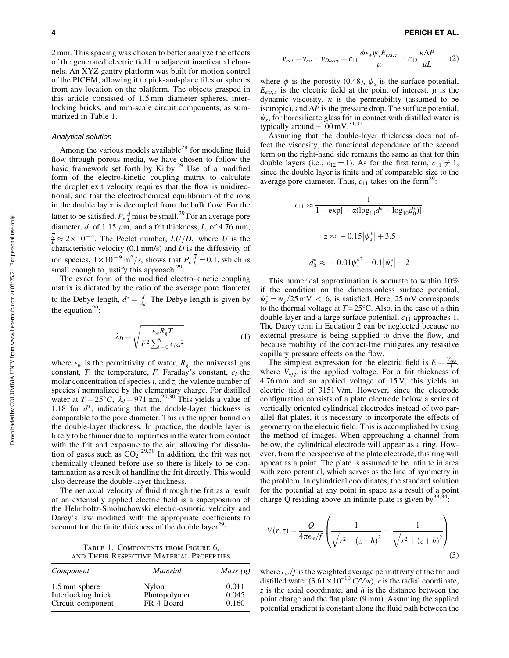2 mm. This spacing was chosen to better analyze the effects of the generated electric field in adjacent inactivated channels. An XYZ gantry platform was built for motion control of the PICEM, allowing it to pick-and-place tiles or spheres from any location on the platform. The objects grasped in this article consisted of 1.5 mm diameter spheres, interlocking bricks, and mm-scale circuit components, as summarized in Table 1.

## Analytical solution

Among the various models available<sup>28</sup> for modeling fluid flow through porous media, we have chosen to follow the basic framework set forth by Kirby.<sup>29</sup> Use of a modified form of the electro-kinetic coupling matrix to calculate the droplet exit velocity requires that the flow is unidirectional, and that the electrochemical equilibrium of the ions in the double layer is decoupled from the bulk flow. For the latter to be satisfied,  $P_e \frac{d}{L}$  must be small.<sup>29</sup> For an average pore diameter,  $\overline{d}$ , of 1.15  $\mu$ m, and a frit thickness, *L*, of 4.76 mm,  $\frac{d}{L} \approx 2 \times 10^{-4}$ . The Peclet number,  $LU/D$ , where *U* is the characteristic velocity (0.1 mm/s) and *D* is the diffusivity of ion species,  $1 \times 10^{-9}$  m<sup>2</sup>/s, shows that  $P_e \frac{d}{L} = 0.1$ , which is small enough to justify this approach.<sup>29</sup>

The exact form of the modified electro-kinetic coupling matrix is dictated by the ratio of the average pore diameter to the Debye length,  $d^* = \frac{d}{\lambda_d}$ . The Debye length is given by the equation<sup>29</sup>:

$$
\lambda_D = \sqrt{\frac{\epsilon_w R_g T}{F^2 \sum_{i=0}^N c_i z_i^2}}
$$
 (1)

where  $\epsilon_w$  is the permittivity of water,  $R_g$ , the universal gas constant,  $T$ , the temperature,  $F$ , Faraday's constant,  $c_i$  the molar concentration of species  $i$ , and  $z_i$  the valence number of species *i* normalized by the elementary charge. For distilled water at  $T = 25^{\circ}C$ ,  $\lambda_d = 971$  nm.<sup>29,30</sup> This yields a value of 1.18 for  $d^*$ , indicating that the double-layer thickness is comparable to the pore diameter. This is the upper bound on the double-layer thickness. In practice, the double layer is likely to be thinner due to impurities in the water from contact with the frit and exposure to the air, allowing for dissolution of gases such as  $CO_2$ .<sup>29,30</sup> In addition, the frit was not chemically cleaned before use so there is likely to be contamination as a result of handling the frit directly. This would also decrease the double-layer thickness.

The net axial velocity of fluid through the frit as a result of an externally applied electric field is a superposition of the Helmholtz-Smoluchowski electro-osmotic velocity and Darcy's law modified with the appropriate coefficients to account for the finite thickness of the double layer<sup>29</sup>:

Table 1. Components from Figure 6, and Their Respective Material Properties

| Component          | <i>Material</i> | <i>Mass</i> $(g)$ |
|--------------------|-----------------|-------------------|
| 1.5 mm sphere      | Nylon           | 0.011             |
| Interlocking brick | Photopolymer    | 0.045             |
| Circuit component  | FR-4 Board      | 0.160             |

$$
v_{net} = v_{eo} - v_{Darcy} = c_{11} \frac{\phi \epsilon_w \psi_s E_{ext,z}}{\mu} - c_{12} \frac{\kappa \Delta P}{\mu L}
$$
 (2)

where  $\phi$  is the porosity (0.48),  $\psi_s$  is the surface potential,  $E_{ext,z}$  is the electric field at the point of interest,  $\mu$  is the dynamic viscosity,  $\kappa$  is the permeability (assumed to be isotropic), and  $\Delta P$  is the pressure drop. The surface potential,  $\psi_s$ , for borosilicate glass frit in contact with distilled water is typically around  $-100$  mV.<sup>31,32</sup>

Assuming that the double-layer thickness does not affect the viscosity, the functional dependence of the second term on the right-hand side remains the same as that for thin double layers (i.e.,  $c_{12} = 1$ ). As for the first term,  $c_{11} \neq 1$ , since the double layer is finite and of comparable size to the average pore diameter. Thus,  $c_{11}$  takes on the form<sup>29</sup>:

$$
c_{11} \approx \frac{1}{1 + \exp[-\alpha(\log_{10}d^* - \log_{10}d_0^*)]}
$$

$$
\alpha \approx -0.15|\psi_s^*| + 3.5
$$

$$
d_0^* \approx -0.01\psi_s^{*2} - 0.1|\psi_s^*| + 2
$$

This numerical approximation is accurate to within 10% if the condition on the dimensionless surface potential,  $\psi_s^* = \psi_s / 25 \text{ mV} < 6$ , is satisfied. Here,  $25 \text{ mV}$  corresponds to the thermal voltage at  $T = 25^{\circ}$ C. Also, in the case of a thin double layer and a large surface potential, *c*<sup>11</sup> approaches 1. The Darcy term in Equation 2 can be neglected because no external pressure is being supplied to drive the flow, and because mobility of the contact-line mitigates any resistive capillary pressure effects on the flow.

The simplest expression for the electric field is  $E = \frac{V_{app}}{L}$ , where  $V_{app}$  is the applied voltage. For a frit thickness of 4.76 mm and an applied voltage of 15 V, this yields an electric field of 3151 V/m. However, since the electrode configuration consists of a plate electrode below a series of vertically oriented cylindrical electrodes instead of two parallel flat plates, it is necessary to incorporate the effects of geometry on the electric field. This is accomplished by using the method of images. When approaching a channel from below, the cylindrical electrode will appear as a ring. However, from the perspective of the plate electrode, this ring will appear as a point. The plate is assumed to be infinite in area with zero potential, which serves as the line of symmetry in the problem. In cylindrical coordinates, the standard solution for the potential at any point in space as a result of a point charge Q residing above an infinite plate is given by  $33,34$ :

$$
V(r,z) = \frac{Q}{4\pi\epsilon_w/f} \left( \frac{1}{\sqrt{r^2 + (z-h)^2}} - \frac{1}{\sqrt{r^2 + (z+h)^2}} \right)
$$
(3)

where  $\epsilon_w$  *f* is the weighted average permittivity of the frit and distilled water  $(3.61 \times 10^{-10} \text{ C/Vm})$ , *r* is the radial coordinate, *z* is the axial coordinate, and *h* is the distance between the point charge and the flat plate (9 mm). Assuming the applied potential gradient is constant along the fluid path between the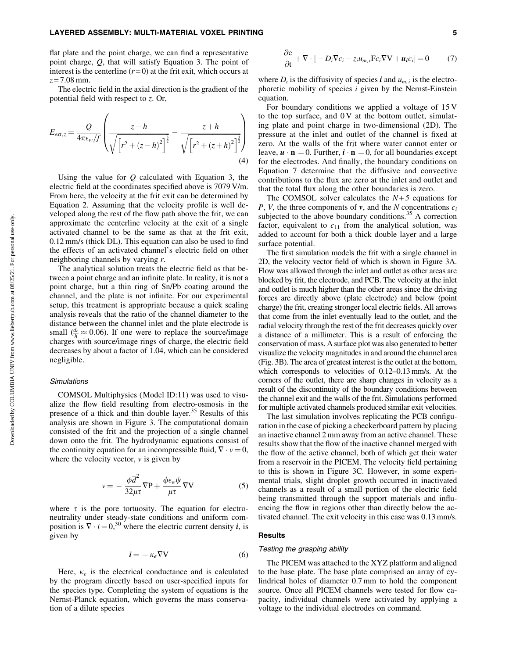flat plate and the point charge, we can find a representative point charge, *Q*, that will satisfy Equation 3. The point of interest is the centerline  $(r=0)$  at the frit exit, which occurs at *z* = 7.08 mm.

The electric field in the axial direction is the gradient of the potential field with respect to *z*. Or,

$$
E_{ext,z} = \frac{Q}{4\pi\epsilon_w/f} \left( \frac{z-h}{\sqrt{\left[r^2 + (z-h)^2\right]^{\frac{3}{2}}}} - \frac{z+h}{\sqrt{\left[r^2 + (z+h)^2\right]^{\frac{3}{2}}}} \right)
$$
(4)

Using the value for *Q* calculated with Equation 3, the electric field at the coordinates specified above is 7079 V/m. From here, the velocity at the frit exit can be determined by Equation 2. Assuming that the velocity profile is well developed along the rest of the flow path above the frit, we can approximate the centerline velocity at the exit of a single activated channel to be the same as that at the frit exit, 0.12 mm/s (thick DL). This equation can also be used to find the effects of an activated channel's electric field on other neighboring channels by varying *r*.

The analytical solution treats the electric field as that between a point charge and an infinite plate. In reality, it is not a point charge, but a thin ring of Sn/Pb coating around the channel, and the plate is not infinite. For our experimental setup, this treatment is appropriate because a quick scaling analysis reveals that the ratio of the channel diameter to the distance between the channel inlet and the plate electrode is small  $(\frac{d_c}{h} \approx 0.06)$ . If one were to replace the source/image charges with source/image rings of charge, the electric field decreases by about a factor of 1.04, which can be considered negligible.

#### **Simulations**

COMSOL Multiphysics (Model ID:11) was used to visualize the flow field resulting from electro-osmosis in the presence of a thick and thin double layer.<sup>35</sup> Results of this analysis are shown in Figure 3. The computational domain consisted of the frit and the projection of a single channel down onto the frit. The hydrodynamic equations consist of the continuity equation for an incompressible fluid,  $\nabla \cdot v = 0$ , where the velocity vector,  $\nu$  is given by

$$
v = -\frac{\phi \overline{d}^2}{32\mu\tau} \nabla P + \frac{\phi \epsilon_w \psi}{\mu\tau} \nabla V
$$
 (5)

where  $\tau$  is the pore tortuosity. The equation for electroneutrality under steady-state conditions and uniform composition is  $\nabla \cdot i = 0,^{30}$  where the electric current density *i*, is given by

$$
\dot{\mathbf{i}} = -\kappa_e \nabla V \tag{6}
$$

Here,  $\kappa_e$  is the electrical conductance and is calculated by the program directly based on user-specified inputs for the species type. Completing the system of equations is the Nernst-Planck equation, which governs the mass conservation of a dilute species

$$
\frac{\partial \mathbf{c}}{\partial t} + \nabla \cdot [-D_i \nabla c_i - z_i u_{m,i} \mathbf{F} c_i \nabla \mathbf{V} + \mathbf{u}_i c_i] = 0 \tag{7}
$$

where  $D_i$  is the diffusivity of species i and  $u_{m,i}$  is the electrophoretic mobility of species *i* given by the Nernst-Einstein equation.

For boundary conditions we applied a voltage of 15 V to the top surface, and  $0V$  at the bottom outlet, simulating plate and point charge in two-dimensional (2D). The pressure at the inlet and outlet of the channel is fixed at zero. At the walls of the frit where water cannot enter or leave,  $\mathbf{u} \cdot \mathbf{n} = 0$ . Further,  $\mathbf{i} \cdot \mathbf{n} = 0$ , for all boundaries except for the electrodes. And finally, the boundary conditions on Equation 7 determine that the diffusive and convective contributions to the flux are zero at the inlet and outlet and that the total flux along the other boundaries is zero.

The COMSOL solver calculates the  $N+5$  equations for *P*, *V*, the three components of  $v$ , and the *N* concentrations  $c_i$ subjected to the above boundary conditions.<sup>35</sup> A correction factor, equivalent to  $c_{11}$  from the analytical solution, was added to account for both a thick double layer and a large surface potential.

The first simulation models the frit with a single channel in 2D, the velocity vector field of which is shown in Figure 3A. Flow was allowed through the inlet and outlet as other areas are blocked by frit, the electrode, and PCB. The velocity at the inlet and outlet is much higher than the other areas since the driving forces are directly above (plate electrode) and below (point charge) the frit, creating stronger local electric fields. All arrows that come from the inlet eventually lead to the outlet, and the radial velocity through the rest of the frit decreases quickly over a distance of a millimeter. This is a result of enforcing the conservation of mass. A surface plot was also generated to better visualize the velocity magnitudes in and around the channel area (Fig. 3B). The area of greatest interest is the outlet at the bottom, which corresponds to velocities of 0.12–0.13 mm/s. At the corners of the outlet, there are sharp changes in velocity as a result of the discontinuity of the boundary conditions between the channel exit and the walls of the frit. Simulations performed for multiple activated channels produced similar exit velocities.

The last simulation involves replicating the PCB configuration in the case of picking a checkerboard pattern by placing an inactive channel 2 mm away from an active channel. These results show that the flow of the inactive channel merged with the flow of the active channel, both of which get their water from a reservoir in the PICEM. The velocity field pertaining to this is shown in Figure 3C. However, in some experimental trials, slight droplet growth occurred in inactivated channels as a result of a small portion of the electric field being transmitted through the support materials and influencing the flow in regions other than directly below the activated channel. The exit velocity in this case was 0.13 mm/s.

## Results

## Testing the grasping ability

The PICEM was attached to the XYZ platform and aligned to the base plate. The base plate comprised an array of cylindrical holes of diameter 0.7 mm to hold the component source. Once all PICEM channels were tested for flow capacity, individual channels were activated by applying a voltage to the individual electrodes on command.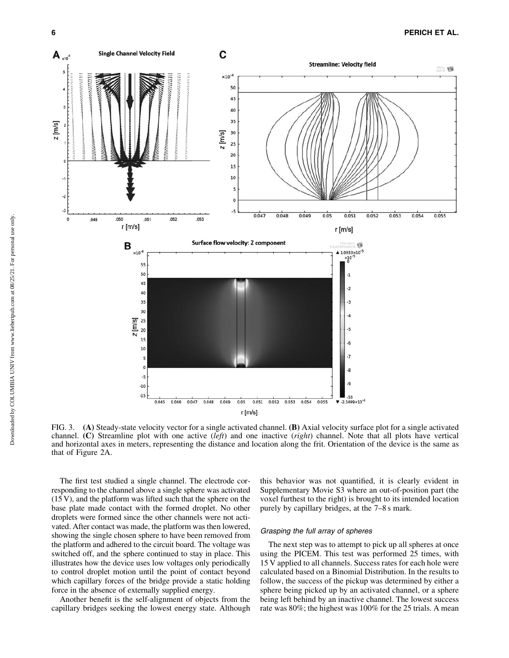

FIG. 3. (A) Steady-state velocity vector for a single activated channel. (B) Axial velocity surface plot for a single activated channel. (C) Streamline plot with one active (*left*) and one inactive (*right*) channel. Note that all plots have vertical and horizontal axes in meters, representing the distance and location along the frit. Orientation of the device is the same as that of Figure 2A.

The first test studied a single channel. The electrode corresponding to the channel above a single sphere was activated (15 V), and the platform was lifted such that the sphere on the base plate made contact with the formed droplet. No other droplets were formed since the other channels were not activated. After contact was made, the platform was then lowered, showing the single chosen sphere to have been removed from the platform and adhered to the circuit board. The voltage was switched off, and the sphere continued to stay in place. This illustrates how the device uses low voltages only periodically to control droplet motion until the point of contact beyond which capillary forces of the bridge provide a static holding force in the absence of externally supplied energy.

Another benefit is the self-alignment of objects from the capillary bridges seeking the lowest energy state. Although this behavior was not quantified, it is clearly evident in Supplementary Movie S3 where an out-of-position part (the voxel furthest to the right) is brought to its intended location purely by capillary bridges, at the 7–8 s mark.

## Grasping the full array of spheres

The next step was to attempt to pick up all spheres at once using the PICEM. This test was performed 25 times, with 15 V applied to all channels. Success rates for each hole were calculated based on a Binomial Distribution. In the results to follow, the success of the pickup was determined by either a sphere being picked up by an activated channel, or a sphere being left behind by an inactive channel. The lowest success rate was 80%; the highest was 100% for the 25 trials. A mean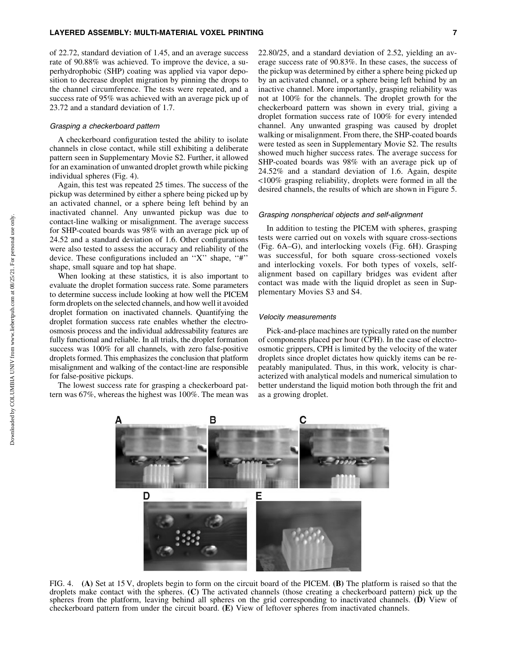of 22.72, standard deviation of 1.45, and an average success rate of 90.88% was achieved. To improve the device, a superhydrophobic (SHP) coating was applied via vapor deposition to decrease droplet migration by pinning the drops to the channel circumference. The tests were repeated, and a success rate of 95% was achieved with an average pick up of 23.72 and a standard deviation of 1.7.

## Grasping a checkerboard pattern

A checkerboard configuration tested the ability to isolate channels in close contact, while still exhibiting a deliberate pattern seen in Supplementary Movie S2. Further, it allowed for an examination of unwanted droplet growth while picking individual spheres (Fig. 4).

Again, this test was repeated 25 times. The success of the pickup was determined by either a sphere being picked up by an activated channel, or a sphere being left behind by an inactivated channel. Any unwanted pickup was due to contact-line walking or misalignment. The average success for SHP-coated boards was 98% with an average pick up of 24.52 and a standard deviation of 1.6. Other configurations were also tested to assess the accuracy and reliability of the device. These configurations included an ''X'' shape, ''#'' shape, small square and top hat shape.

When looking at these statistics, it is also important to evaluate the droplet formation success rate. Some parameters to determine success include looking at how well the PICEM form droplets on the selected channels, and how well it avoided droplet formation on inactivated channels. Quantifying the droplet formation success rate enables whether the electroosmosis process and the individual addressability features are fully functional and reliable. In all trials, the droplet formation success was 100% for all channels, with zero false-positive droplets formed. This emphasizes the conclusion that platform misalignment and walking of the contact-line are responsible for false-positive pickups.

The lowest success rate for grasping a checkerboard pattern was 67%, whereas the highest was 100%. The mean was 22.80/25, and a standard deviation of 2.52, yielding an average success rate of 90.83%. In these cases, the success of the pickup was determined by either a sphere being picked up by an activated channel, or a sphere being left behind by an inactive channel. More importantly, grasping reliability was not at 100% for the channels. The droplet growth for the checkerboard pattern was shown in every trial, giving a droplet formation success rate of 100% for every intended channel. Any unwanted grasping was caused by droplet walking or misalignment. From there, the SHP-coated boards were tested as seen in Supplementary Movie S2. The results showed much higher success rates. The average success for SHP-coated boards was 98% with an average pick up of 24.52% and a standard deviation of 1.6. Again, despite <100% grasping reliability, droplets were formed in all the desired channels, the results of which are shown in Figure 5.

## Grasping nonspherical objects and self-alignment

In addition to testing the PICEM with spheres, grasping tests were carried out on voxels with square cross-sections (Fig. 6A–G), and interlocking voxels (Fig. 6H). Grasping was successful, for both square cross-sectioned voxels and interlocking voxels. For both types of voxels, selfalignment based on capillary bridges was evident after contact was made with the liquid droplet as seen in Supplementary Movies S3 and S4.

#### Velocity measurements

Pick-and-place machines are typically rated on the number of components placed per hour (CPH). In the case of electroosmotic grippers, CPH is limited by the velocity of the water droplets since droplet dictates how quickly items can be repeatably manipulated. Thus, in this work, velocity is characterized with analytical models and numerical simulation to better understand the liquid motion both through the frit and as a growing droplet.



FIG. 4. (A) Set at 15 V, droplets begin to form on the circuit board of the PICEM. (B) The platform is raised so that the droplets make contact with the spheres. (C) The activated channels (those creating a checkerboard pattern) pick up the spheres from the platform, leaving behind all spheres on the grid corresponding to inactivated channels. (D) View of checkerboard pattern from under the circuit board. (E) View of leftover spheres from inactivated channels.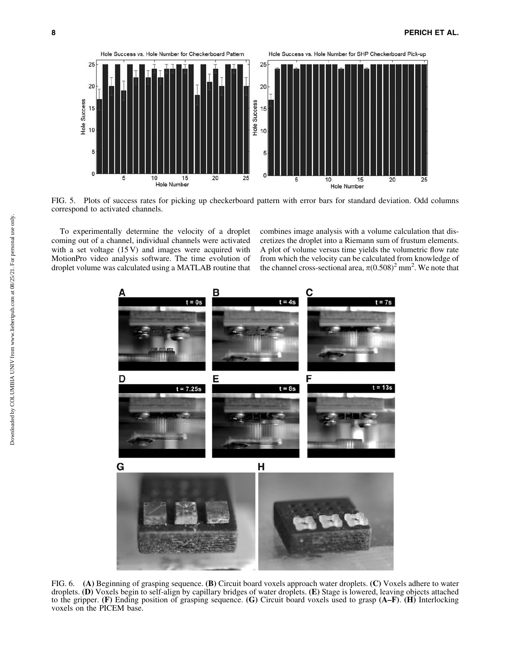

FIG. 5. Plots of success rates for picking up checkerboard pattern with error bars for standard deviation. Odd columns correspond to activated channels.

To experimentally determine the velocity of a droplet coming out of a channel, individual channels were activated with a set voltage  $(15 V)$  and images were acquired with MotionPro video analysis software. The time evolution of droplet volume was calculated using a MATLAB routine that combines image analysis with a volume calculation that discretizes the droplet into a Riemann sum of frustum elements. A plot of volume versus time yields the volumetric flow rate from which the velocity can be calculated from knowledge of the channel cross-sectional area,  $\pi(0.508)^2$  mm<sup>2</sup>. We note that



FIG. 6. (A) Beginning of grasping sequence. (B) Circuit board voxels approach water droplets. (C) Voxels adhere to water droplets. (D) Voxels begin to self-align by capillary bridges of water droplets. (E) Stage is lowered, leaving objects attached to the gripper. (F) Ending position of grasping sequence. (G) Circuit board voxels used to grasp (A–F). (H) Interlocking voxels on the PICEM base.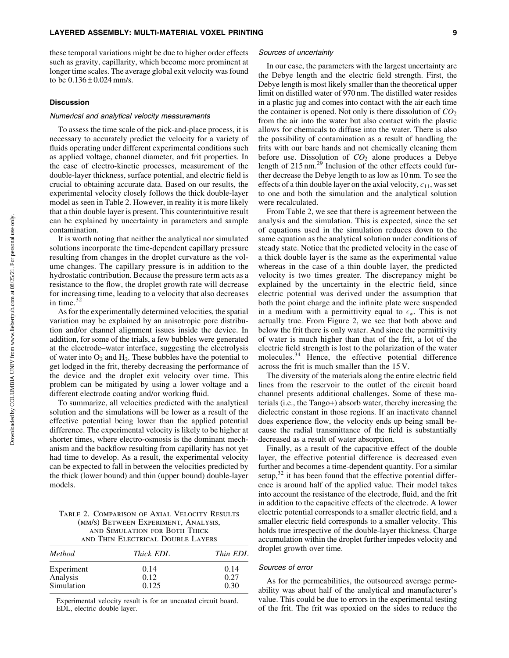these temporal variations might be due to higher order effects such as gravity, capillarity, which become more prominent at longer time scales. The average global exit velocity was found to be  $0.136 \pm 0.024$  mm/s.

#### **Discussion**

#### Numerical and analytical velocity measurements

To assess the time scale of the pick-and-place process, it is necessary to accurately predict the velocity for a variety of fluids operating under different experimental conditions such as applied voltage, channel diameter, and frit properties. In the case of electro-kinetic processes, measurement of the double-layer thickness, surface potential, and electric field is crucial to obtaining accurate data. Based on our results, the experimental velocity closely follows the thick double-layer model as seen in Table 2. However, in reality it is more likely that a thin double layer is present. This counterintuitive result can be explained by uncertainty in parameters and sample contamination.

It is worth noting that neither the analytical nor simulated solutions incorporate the time-dependent capillary pressure resulting from changes in the droplet curvature as the volume changes. The capillary pressure is in addition to the hydrostatic contribution. Because the pressure term acts as a resistance to the flow, the droplet growth rate will decrease for increasing time, leading to a velocity that also decreases in time.<sup>32</sup>

As for the experimentally determined velocities, the spatial variation may be explained by an anisotropic pore distribution and/or channel alignment issues inside the device. In addition, for some of the trials, a few bubbles were generated at the electrode–water interface, suggesting the electrolysis of water into  $O_2$  and  $H_2$ . These bubbles have the potential to get lodged in the frit, thereby decreasing the performance of the device and the droplet exit velocity over time. This problem can be mitigated by using a lower voltage and a different electrode coating and/or working fluid.

To summarize, all velocities predicted with the analytical solution and the simulations will be lower as a result of the effective potential being lower than the applied potential difference. The experimental velocity is likely to be higher at shorter times, where electro-osmosis is the dominant mechanism and the backflow resulting from capillarity has not yet had time to develop. As a result, the experimental velocity can be expected to fall in between the velocities predicted by the thick (lower bound) and thin (upper bound) double-layer models.

Table 2. Comparison of Axial Velocity Results (mm/s) Between Experiment, Analysis, and Simulation for Both Thick and Thin Electrical Double Layers

| Method     | Thick EDL | Thin EDL |
|------------|-----------|----------|
| Experiment | 0.14      | 0.14     |
| Analysis   | 0.12      | 0.27     |
| Simulation | 0.125     | 0.30     |

Experimental velocity result is for an uncoated circuit board. EDL, electric double layer.

#### Sources of uncertainty

In our case, the parameters with the largest uncertainty are the Debye length and the electric field strength. First, the Debye length is most likely smaller than the theoretical upper limit on distilled water of 970 nm. The distilled water resides in a plastic jug and comes into contact with the air each time the container is opened. Not only is there dissolution of  $CO<sub>2</sub>$ from the air into the water but also contact with the plastic allows for chemicals to diffuse into the water. There is also the possibility of contamination as a result of handling the frits with our bare hands and not chemically cleaning them before use. Dissolution of  $CO<sub>2</sub>$  alone produces a Debye length of 215 nm.<sup>29</sup> Inclusion of the other effects could further decrease the Debye length to as low as 10 nm. To see the effects of a thin double layer on the axial velocity, *c*11, was set to one and both the simulation and the analytical solution were recalculated.

From Table 2, we see that there is agreement between the analysis and the simulation. This is expected, since the set of equations used in the simulation reduces down to the same equation as the analytical solution under conditions of steady state. Notice that the predicted velocity in the case of a thick double layer is the same as the experimental value whereas in the case of a thin double layer, the predicted velocity is two times greater. The discrepancy might be explained by the uncertainty in the electric field, since electric potential was derived under the assumption that both the point charge and the infinite plate were suspended in a medium with a permittivity equal to  $\epsilon_w$ . This is not actually true. From Figure 2, we see that both above and below the frit there is only water. And since the permittivity of water is much higher than that of the frit, a lot of the electric field strength is lost to the polarization of the water molecules.<sup>34</sup> Hence, the effective potential difference across the frit is much smaller than the 15 V.

The diversity of the materials along the entire electric field lines from the reservoir to the outlet of the circuit board channel presents additional challenges. Some of these materials (i.e., the Tango+) absorb water, thereby increasing the dielectric constant in those regions. If an inactivate channel does experience flow, the velocity ends up being small because the radial transmittance of the field is substantially decreased as a result of water absorption.

Finally, as a result of the capacitive effect of the double layer, the effective potential difference is decreased even further and becomes a time-dependent quantity. For a similar setup, $32$  it has been found that the effective potential difference is around half of the applied value. Their model takes into account the resistance of the electrode, fluid, and the frit in addition to the capacitive effects of the electrode. A lower electric potential corresponds to a smaller electric field, and a smaller electric field corresponds to a smaller velocity. This holds true irrespective of the double-layer thickness. Charge accumulation within the droplet further impedes velocity and droplet growth over time.

## Sources of error

As for the permeabilities, the outsourced average permeability was about half of the analytical and manufacturer's value. This could be due to errors in the experimental testing of the frit. The frit was epoxied on the sides to reduce the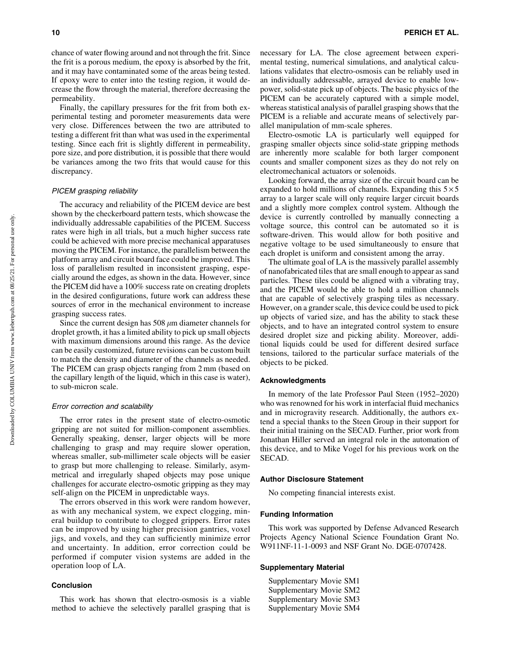chance of water flowing around and not through the frit. Since the frit is a porous medium, the epoxy is absorbed by the frit, and it may have contaminated some of the areas being tested. If epoxy were to enter into the testing region, it would decrease the flow through the material, therefore decreasing the permeability.

Finally, the capillary pressures for the frit from both experimental testing and porometer measurements data were very close. Differences between the two are attributed to testing a different frit than what was used in the experimental testing. Since each frit is slightly different in permeability, pore size, and pore distribution, it is possible that there would be variances among the two frits that would cause for this discrepancy.

## PICEM grasping reliability

The accuracy and reliability of the PICEM device are best shown by the checkerboard pattern tests, which showcase the individually addressable capabilities of the PICEM. Success rates were high in all trials, but a much higher success rate could be achieved with more precise mechanical apparatuses moving the PICEM. For instance, the parallelism between the platform array and circuit board face could be improved. This loss of parallelism resulted in inconsistent grasping, especially around the edges, as shown in the data. However, since the PICEM did have a 100% success rate on creating droplets in the desired configurations, future work can address these sources of error in the mechanical environment to increase grasping success rates.

Since the current design has  $508 \mu m$  diameter channels for droplet growth, it has a limited ability to pick up small objects with maximum dimensions around this range. As the device can be easily customized, future revisions can be custom built to match the density and diameter of the channels as needed. The PICEM can grasp objects ranging from 2 mm (based on the capillary length of the liquid, which in this case is water), to sub-micron scale.

#### Error correction and scalability

The error rates in the present state of electro-osmotic gripping are not suited for million-component assemblies. Generally speaking, denser, larger objects will be more challenging to grasp and may require slower operation, whereas smaller, sub-millimeter scale objects will be easier to grasp but more challenging to release. Similarly, asymmetrical and irregularly shaped objects may pose unique challenges for accurate electro-osmotic gripping as they may self-align on the PICEM in unpredictable ways.

The errors observed in this work were random however, as with any mechanical system, we expect clogging, mineral buildup to contribute to clogged grippers. Error rates can be improved by using higher precision gantries, voxel jigs, and voxels, and they can sufficiently minimize error and uncertainty. In addition, error correction could be performed if computer vision systems are added in the operation loop of LA.

## Conclusion

This work has shown that electro-osmosis is a viable method to achieve the selectively parallel grasping that is necessary for LA. The close agreement between experimental testing, numerical simulations, and analytical calculations validates that electro-osmosis can be reliably used in an individually addressable, arrayed device to enable lowpower, solid-state pick up of objects. The basic physics of the PICEM can be accurately captured with a simple model, whereas statistical analysis of parallel grasping shows that the PICEM is a reliable and accurate means of selectively parallel manipulation of mm-scale spheres.

Electro-osmotic LA is particularly well equipped for grasping smaller objects since solid-state gripping methods are inherently more scalable for both larger component counts and smaller component sizes as they do not rely on electromechanical actuators or solenoids.

Looking forward, the array size of the circuit board can be expanded to hold millions of channels. Expanding this  $5 \times 5$ array to a larger scale will only require larger circuit boards and a slightly more complex control system. Although the device is currently controlled by manually connecting a voltage source, this control can be automated so it is software-driven. This would allow for both positive and negative voltage to be used simultaneously to ensure that each droplet is uniform and consistent among the array.

The ultimate goal of LA is the massively parallel assembly of nanofabricated tiles that are small enough to appear as sand particles. These tiles could be aligned with a vibrating tray, and the PICEM would be able to hold a million channels that are capable of selectively grasping tiles as necessary. However, on a grander scale, this device could be used to pick up objects of varied size, and has the ability to stack these objects, and to have an integrated control system to ensure desired droplet size and picking ability. Moreover, additional liquids could be used for different desired surface tensions, tailored to the particular surface materials of the objects to be picked.

#### Acknowledgments

In memory of the late Professor Paul Steen (1952–2020) who was renowned for his work in interfacial fluid mechanics and in microgravity research. Additionally, the authors extend a special thanks to the Steen Group in their support for their initial training on the SECAD. Further, prior work from Jonathan Hiller served an integral role in the automation of this device, and to Mike Vogel for his previous work on the SECAD.

#### Author Disclosure Statement

No competing financial interests exist.

#### Funding Information

This work was supported by Defense Advanced Research Projects Agency National Science Foundation Grant No. W911NF-11-1-0093 and NSF Grant No. DGE-0707428.

# Supplementary Material

Supplementary Movie SM1 Supplementary Movie SM2 Supplementary Movie SM3 Supplementary Movie SM4